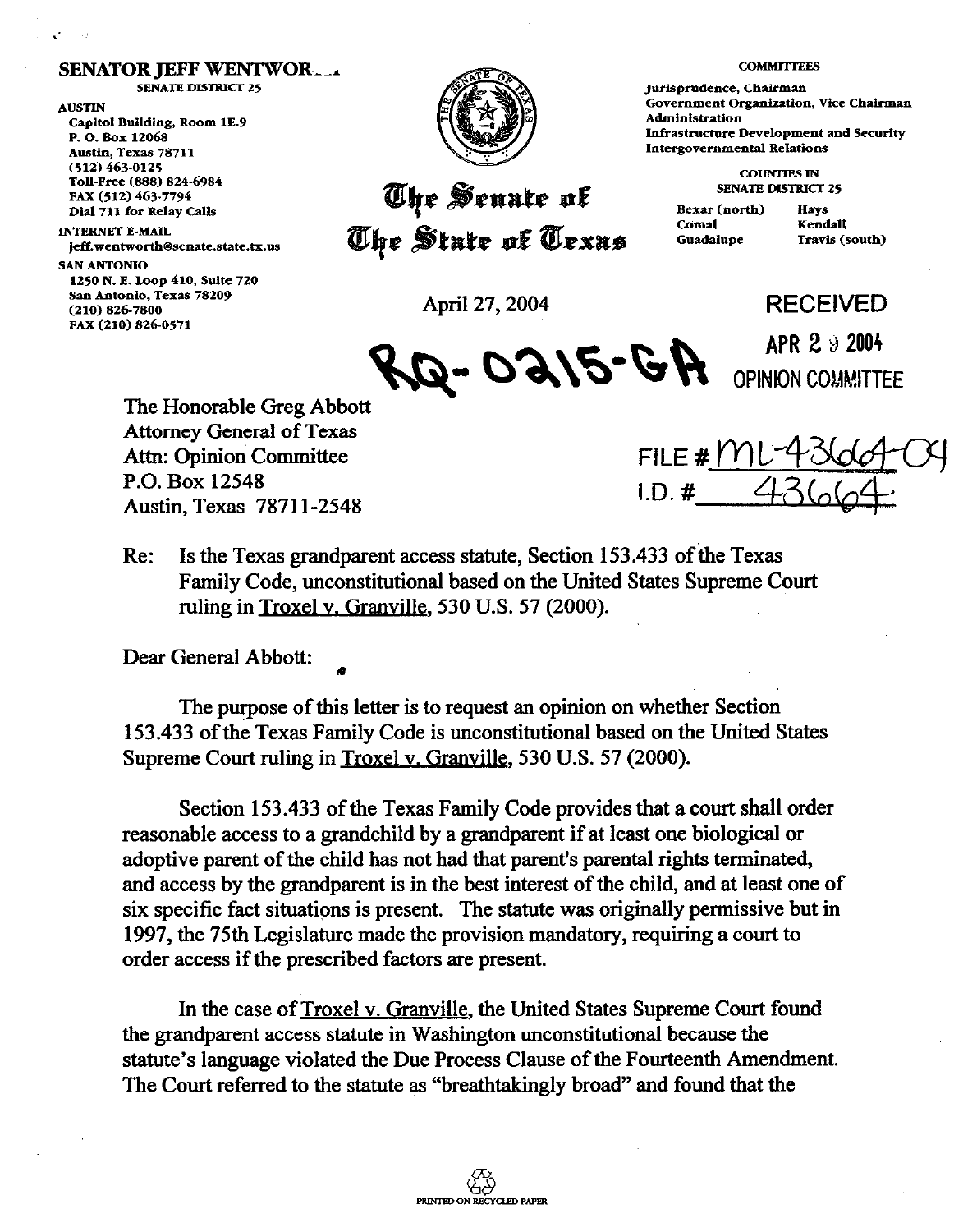## **SENATOR JEFF WENTWOR....**

**SENATE DISTRICT 25** 

**AUSTIN** Capitol Building, Room 1E.9 P. O. Box 12068 Austin, Texas 78711  $(512) 463 - 0125$ Toll-Free (888) 824-6984 FAX (512) 463-7794 Dial 711 for Relay Calls

## **INTERNET E-MAIL** jeff.wentworth@senate.state.tx.us **SAN ANTONIO**  1250 N. E. Loop 410, Suite 720

**Sam Antonlo, Texas 78209 PAX (210) 826-0571** 



## The Senate of The State of Texas **.**

Jurisprudence, Chairman Government Organization, Vice Chairman Administration **Infrastructure Development and Security Intergovernmental Relations** 

**COMMITTEES** 

**COUNTIES IN SENATE DISTRICT 25** 

Bexar (north) Comal Guadalupe

Havs Kendall Travis (south)

APR  $2.92004$ 

**(210) 826.7800** April 27,2004 **RECEIVED** 

 $\mathcal{A}$ **/5-GA**  $_{\text{OPINDI}}^{\text{min 29200}}$ 

The Honorable Greg Abbott Attorney General of Texas Attn: Opinion Committee **FILE #**  $f'$ P.O. Box 12548 Austin, Texas 7871 l-2548

**I.D. # (** 

Re: Is the Texas grandparent access statute, Section 153.433 of the Texas Family Code, unconstitutional based on the United States Supreme Court ruling in Troxel v. Granville, 530 U.S. 57 (2000).

Dear General Abbott:

The purpose of this letter is to request an opinion on whether Section 153.433 of the Texas Family Code is unconstitutional based on the United States Supreme Court ruling in Troxel v. Granville, 530 U.S. 57 (2000).

Section 153.433 of the Texas Family Code provides that a court shall order reasonable access to a grandchild by a grandparent if at least one biological or adoptive parent of the child has not had that parent's parental rights terminated, and access by the grandparent is in the best interest of the child, and at least one of six specific fact situations is present. The statute was originally permissive but in 1997, the 75th Legislature made the provision mandatory, requiring a court to order access if the prescribed factors are present.

In the case of Troxel v. Granville, the United States Supreme Court found the grandparent access statute in Washington unconstitutional because the statute's language violated the Due Process Clause of the Fourteenth Amendment. The Court referred to the statute as "breathtakingly broad" and found that the